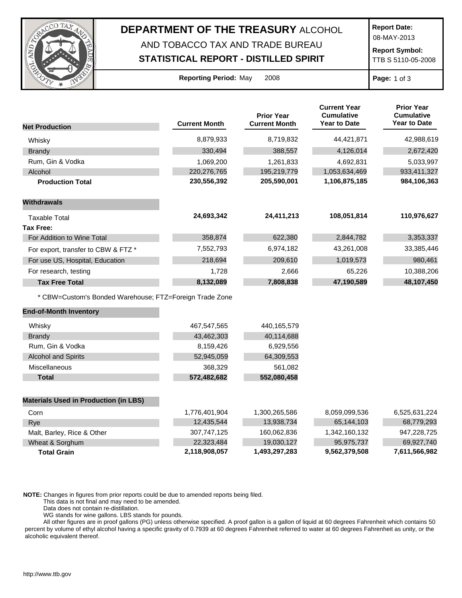

## **DEPARTMENT OF THE TREASURY** ALCOHOL

## AND TOBACCO TAX AND TRADE BUREAU **STATISTICAL REPORT - DISTILLED SPIRIT**

**Report Date:**

08-MAY-2013

**Report Symbol:** TTB S 5110-05-2008

| <b>Reporting Period: May</b> |  | 200 |
|------------------------------|--|-----|
|                              |  |     |

**Page:** 1 of 3

|                                                         |                      | <b>Prior Year</b>    | <b>Current Year</b><br><b>Cumulative</b> | <b>Prior Year</b><br><b>Cumulative</b> |
|---------------------------------------------------------|----------------------|----------------------|------------------------------------------|----------------------------------------|
| <b>Net Production</b>                                   | <b>Current Month</b> | <b>Current Month</b> | <b>Year to Date</b>                      | <b>Year to Date</b>                    |
| Whisky                                                  | 8,879,933            | 8,719,832            | 44,421,871                               | 42,988,619                             |
| <b>Brandy</b>                                           | 330,494              | 388,557              | 4,126,014                                | 2,672,420                              |
| Rum, Gin & Vodka                                        | 1,069,200            | 1,261,833            | 4,692,831                                | 5,033,997                              |
| Alcohol                                                 | 220,276,765          | 195,219,779          | 1,053,634,469                            | 933,411,327                            |
| <b>Production Total</b>                                 | 230,556,392          | 205,590,001          | 1,106,875,185                            | 984,106,363                            |
| <b>Withdrawals</b>                                      |                      |                      |                                          |                                        |
| <b>Taxable Total</b>                                    | 24,693,342           | 24,411,213           | 108,051,814                              | 110,976,627                            |
| <b>Tax Free:</b>                                        |                      |                      |                                          |                                        |
| For Addition to Wine Total                              | 358,874              | 622,380              | 2,844,782                                | 3,353,337                              |
| For export, transfer to CBW & FTZ *                     | 7,552,793            | 6,974,182            | 43,261,008                               | 33,385,446                             |
| For use US, Hospital, Education                         | 218,694              | 209,610              | 1,019,573                                | 980,461                                |
| For research, testing                                   | 1,728                | 2,666                | 65,226                                   | 10,388,206                             |
| <b>Tax Free Total</b>                                   | 8,132,089            | 7,808,838            | 47,190,589                               | 48,107,450                             |
| * CBW=Custom's Bonded Warehouse; FTZ=Foreign Trade Zone |                      |                      |                                          |                                        |
| <b>End-of-Month Inventory</b>                           |                      |                      |                                          |                                        |
| Whisky                                                  | 467,547,565          | 440,165,579          |                                          |                                        |
| <b>Brandy</b>                                           | 43,462,303           | 40,114,688           |                                          |                                        |
| Rum, Gin & Vodka                                        | 8,159,426            | 6,929,556            |                                          |                                        |
| <b>Alcohol and Spirits</b>                              | 52,945,059           | 64,309,553           |                                          |                                        |
| Miscellaneous                                           | 368,329              | 561,082              |                                          |                                        |
| <b>Total</b>                                            | 572,482,682          | 552,080,458          |                                          |                                        |
| <b>Materials Used in Production (in LBS)</b>            |                      |                      |                                          |                                        |
| Corn                                                    | 1,776,401,904        | 1,300,265,586        | 8,059,099,536                            | 6,525,631,224                          |
| Rye                                                     | 12,435,544           | 13,938,734           | 65,144,103                               | 68,779,293                             |
| Malt, Barley, Rice & Other                              | 307,747,125          | 160,062,836          | 1,342,160,132                            | 947,228,725                            |
| Wheat & Sorghum                                         | 22,323,484           | 19,030,127           | 95,975,737                               | 69,927,740                             |
| <b>Total Grain</b>                                      | 2,118,908,057        | 1,493,297,283        | 9,562,379,508                            | 7,611,566,982                          |

**NOTE:** Changes in figures from prior reports could be due to amended reports being filed.

This data is not final and may need to be amended.

Data does not contain re-distillation.

WG stands for wine gallons. LBS stands for pounds.

All other figures are in proof gallons (PG) unless otherwise specified. A proof gallon is a gallon of liquid at 60 degrees Fahrenheit which contains 50 percent by volume of ethyl alcohol having a specific gravity of 0.7939 at 60 degrees Fahrenheit referred to water at 60 degrees Fahrenheit as unity, or the alcoholic equivalent thereof.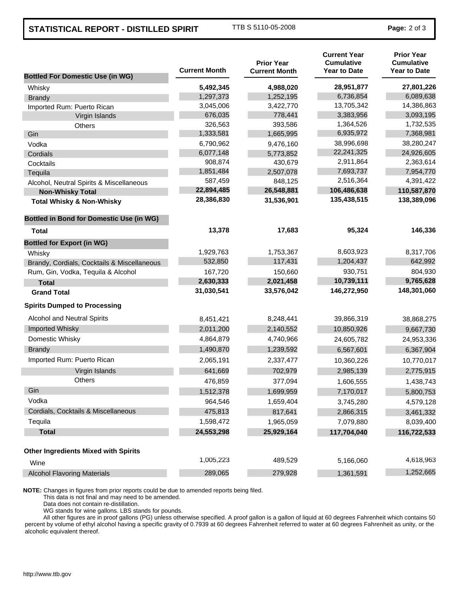## **STATISTICAL REPORT - DISTILLED SPIRIT** TTB S 5110-05-2008 **Page: 2 of 3**

| <b>Bottled For Domestic Use (in WG)</b>         | <b>Current Month</b> | <b>Prior Year</b><br><b>Current Month</b> | <b>Current Year</b><br><b>Cumulative</b><br><b>Year to Date</b> | <b>Prior Year</b><br><b>Cumulative</b><br><b>Year to Date</b> |
|-------------------------------------------------|----------------------|-------------------------------------------|-----------------------------------------------------------------|---------------------------------------------------------------|
| Whisky                                          | 5,492,345            | 4,988,020                                 | 28,951,877                                                      | 27,801,226                                                    |
| <b>Brandy</b>                                   | 1,297,373            | 1,252,195                                 | 6,736,854                                                       | 6,089,638                                                     |
| Imported Rum: Puerto Rican                      | 3,045,006            | 3,422,770                                 | 13,705,342                                                      | 14,386,863                                                    |
| Virgin Islands                                  | 676,035              | 778,441                                   | 3,383,956                                                       | 3,093,195                                                     |
| Others                                          | 326,563              | 393,586                                   | 1,364,526                                                       | 1,732,535                                                     |
| Gin                                             | 1,333,581            | 1,665,995                                 | 6,935,972                                                       | 7,368,981                                                     |
| Vodka                                           | 6,790,962            | 9,476,160                                 | 38,996,698                                                      | 38,280,247                                                    |
| Cordials                                        | 6,077,148            | 5,773,852                                 | 22,241,325                                                      | 24,926,605                                                    |
| Cocktails                                       | 908,874              | 430,679                                   | 2,911,864                                                       | 2,363,614                                                     |
| Tequila                                         | 1,851,484            | 2,507,078                                 | 7,693,737                                                       | 7,954,770                                                     |
| Alcohol, Neutral Spirits & Miscellaneous        | 587,459              | 848,125                                   | 2,516,364                                                       | 4,391,422                                                     |
| <b>Non-Whisky Total</b>                         | 22,894,485           | 26,548,881                                | 106,486,638                                                     | 110,587,870                                                   |
| <b>Total Whisky &amp; Non-Whisky</b>            | 28,386,830           | 31,536,901                                | 135,438,515                                                     | 138,389,096                                                   |
| <b>Bottled in Bond for Domestic Use (in WG)</b> |                      |                                           |                                                                 |                                                               |
| Total                                           | 13,378               | 17,683                                    | 95,324                                                          | 146,336                                                       |
| <b>Bottled for Export (in WG)</b>               |                      |                                           |                                                                 |                                                               |
| Whisky                                          | 1,929,763            | 1,753,367                                 | 8,603,923                                                       | 8,317,706                                                     |
| Brandy, Cordials, Cocktails & Miscellaneous     | 532,850              | 117,431                                   | 1,204,437                                                       | 642,992                                                       |
| Rum, Gin, Vodka, Tequila & Alcohol              | 167,720              | 150,660                                   | 930,751                                                         | 804,930                                                       |
| <b>Total</b>                                    | 2,630,333            | 2,021,458                                 | 10,739,111                                                      | 9,765,628                                                     |
| <b>Grand Total</b>                              | 31,030,541           | 33,576,042                                | 146,272,950                                                     | 148,301,060                                                   |
| <b>Spirits Dumped to Processing</b>             |                      |                                           |                                                                 |                                                               |
| Alcohol and Neutral Spirits                     | 8,451,421            | 8,248,441                                 | 39,866,319                                                      | 38,868,275                                                    |
| Imported Whisky                                 | 2,011,200            | 2,140,552                                 | 10,850,926                                                      | 9,667,730                                                     |
| Domestic Whisky                                 | 4,864,879            | 4,740,966                                 | 24,605,782                                                      | 24,953,336                                                    |
| <b>Brandy</b>                                   | 1,490,870            | 1,239,592                                 | 6,567,601                                                       | 6,367,904                                                     |
| Imported Rum: Puerto Rican                      | 2,065,191            | 2,337,477                                 | 10,360,226                                                      | 10,770,017                                                    |
| Virgin Islands                                  | 641,669              | 702,979                                   | 2,985,139                                                       | 2,775,915                                                     |
| <b>Others</b>                                   | 476,859              | 377,094                                   | 1,606,555                                                       | 1,438,743                                                     |
| Gin                                             | 1,512,378            | 1,699,959                                 | 7,170,017                                                       | 5,800,753                                                     |
| Vodka                                           | 964,546              | 1,659,404                                 | 3,745,280                                                       | 4,579,128                                                     |
| Cordials, Cocktails & Miscellaneous             | 475,813              | 817,641                                   | 2,866,315                                                       | 3,461,332                                                     |
| Tequila                                         | 1,598,472            | 1,965,059                                 | 7,079,880                                                       | 8,039,400                                                     |
| <b>Total</b>                                    | 24,553,298           | 25,929,164                                | 117,704,040                                                     | 116,722,533                                                   |
| <b>Other Ingredients Mixed with Spirits</b>     |                      |                                           |                                                                 |                                                               |
| Wine                                            | 1,005,223            | 489,529                                   | 5,166,060                                                       | 4,618,963                                                     |
| <b>Alcohol Flavoring Materials</b>              | 289,065              | 279,928                                   | 1,361,591                                                       | 1,252,665                                                     |

**NOTE:** Changes in figures from prior reports could be due to amended reports being filed.

This data is not final and may need to be amended.

Data does not contain re-distillation.

WG stands for wine gallons. LBS stands for pounds.

All other figures are in proof gallons (PG) unless otherwise specified. A proof gallon is a gallon of liquid at 60 degrees Fahrenheit which contains 50 percent by volume of ethyl alcohol having a specific gravity of 0.7939 at 60 degrees Fahrenheit referred to water at 60 degrees Fahrenheit as unity, or the alcoholic equivalent thereof.